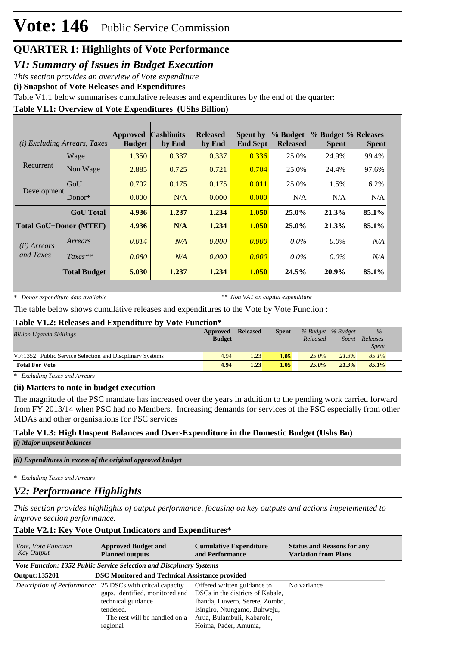# **QUARTER 1: Highlights of Vote Performance**

*V1: Summary of Issues in Budget Execution*

*This section provides an overview of Vote expenditure* 

**(i) Snapshot of Vote Releases and Expenditures**

Table V1.1 below summarises cumulative releases and expenditures by the end of the quarter:

## **Table V1.1: Overview of Vote Expenditures (UShs Billion)**

| ( <i>i</i> ) Excluding Arrears, Taxes |                     | <b>Approved</b><br><b>Budget</b> | <b>Cashlimits</b><br>by End | <b>Released</b><br>by End | <b>Spent by</b><br><b>End Sept</b> | % Budget<br><b>Released</b> | % Budget % Releases<br><b>Spent</b> | <b>Spent</b> |
|---------------------------------------|---------------------|----------------------------------|-----------------------------|---------------------------|------------------------------------|-----------------------------|-------------------------------------|--------------|
|                                       | Wage                | 1.350                            | 0.337                       | 0.337                     | 0.336                              | 25.0%                       | 24.9%                               | 99.4%        |
| Recurrent                             | Non Wage            | 2.885                            | 0.725                       | 0.721                     | 0.704                              | 25.0%                       | 24.4%                               | 97.6%        |
| Development                           | GoU                 | 0.702                            | 0.175                       | 0.175                     | 0.011                              | 25.0%                       | 1.5%                                | 6.2%         |
|                                       | Donor $*$           | 0.000                            | N/A                         | 0.000                     | 0.000                              | N/A                         | N/A                                 | N/A          |
|                                       | <b>GoU</b> Total    | 4.936                            | 1.237                       | 1.234                     | 1.050                              | $25.0\%$                    | 21.3%                               | 85.1%        |
| <b>Total GoU+Donor (MTEF)</b>         |                     | 4.936                            | N/A                         | 1.234                     | 1.050                              | $25.0\%$                    | 21.3%                               | 85.1%        |
| ( <i>ii</i> ) Arrears                 | Arrears             | 0.014                            | N/A                         | 0.000                     | 0.000                              | $0.0\%$                     | $0.0\%$                             | N/A          |
| and Taxes                             | $Taxes**$           | 0.080                            | N/A                         | 0.000                     | 0.000                              | $0.0\%$                     | $0.0\%$                             | N/A          |
|                                       | <b>Total Budget</b> | 5.030                            | 1.237                       | 1.234                     | 1.050                              | 24.5%                       | 20.9%                               | 85.1%        |

*\* Donor expenditure data available*

*\*\* Non VAT on capital expenditure*

The table below shows cumulative releases and expenditures to the Vote by Vote Function :

#### **Table V1.2: Releases and Expenditure by Vote Function\***

| <b>Billion Uganda Shillings</b>                          | Approved<br><b>Budget</b> | <b>Released</b> | <b>Spent</b> | Released | % Budget % Budget<br><i>Spent</i> | $\%$<br>Releases<br><b>Spent</b> |
|----------------------------------------------------------|---------------------------|-----------------|--------------|----------|-----------------------------------|----------------------------------|
| VF:1352 Public Service Selection and Discplinary Systems | 4.94                      | 1.23            | 1.05         | $25.0\%$ | 21.3%                             | 85.1%                            |
| <b>Total For Vote</b>                                    | 4.94                      | 1.23            | 1.05         | $25.0\%$ | 21.3%                             | $85.1\%$                         |

*\* Excluding Taxes and Arrears*

## **(ii) Matters to note in budget execution**

The magnitude of the PSC mandate has increased over the years in addition to the pending work carried forward from FY 2013/14 when PSC had no Members. Increasing demands for services of the PSC especially from other MDAs and other organisations for PSC services

# **Table V1.3: High Unspent Balances and Over-Expenditure in the Domestic Budget (Ushs Bn)**

*(i) Major unpsent balances*

*(ii) Expenditures in excess of the original approved budget*

*\* Excluding Taxes and Arrears*

# *V2: Performance Highlights*

*This section provides highlights of output performance, focusing on key outputs and actions impelemented to improve section performance.*

## **Table V2.1: Key Vote Output Indicators and Expenditures\***

| <i>Vote, Vote Function</i><br>Key Output | <b>Approved Budget and</b><br><b>Planned outputs</b>                                                                                                                         | <b>Cumulative Expenditure</b><br>and Performance                                                                                                                                         | <b>Status and Reasons for any</b><br><b>Variation from Plans</b> |
|------------------------------------------|------------------------------------------------------------------------------------------------------------------------------------------------------------------------------|------------------------------------------------------------------------------------------------------------------------------------------------------------------------------------------|------------------------------------------------------------------|
|                                          | <b>Vote Function: 1352 Public Service Selection and Discplinary Systems</b>                                                                                                  |                                                                                                                                                                                          |                                                                  |
| Output: 135201                           | <b>DSC Monitored and Technical Assistance provided</b>                                                                                                                       |                                                                                                                                                                                          |                                                                  |
|                                          | Description of Performance: 25 DSCs with critcal capacity<br>gaps, identified, monitored and<br>technical guidance<br>tendered.<br>The rest will be handled on a<br>regional | Offered written guidance to<br>DSCs in the districts of Kabale,<br>Ibanda, Luwero, Serere, Zombo,<br>Isingiro, Ntungamo, Buhweju,<br>Arua, Bulambuli, Kabarole,<br>Hoima, Pader, Amunia, | No variance                                                      |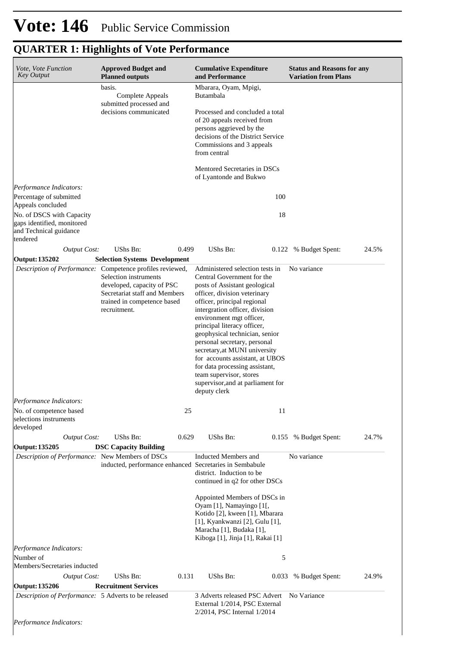| Vote, Vote Function<br><b>Key Output</b>                                                                           | <b>Approved Budget and</b><br><b>Planned outputs</b>                                                                                                                                             | <b>Cumulative Expenditure</b><br>and Performance                                                                                                                                                                                                                                                                                                                                                                                                                                                                   | <b>Status and Reasons for any</b><br><b>Variation from Plans</b> |  |  |
|--------------------------------------------------------------------------------------------------------------------|--------------------------------------------------------------------------------------------------------------------------------------------------------------------------------------------------|--------------------------------------------------------------------------------------------------------------------------------------------------------------------------------------------------------------------------------------------------------------------------------------------------------------------------------------------------------------------------------------------------------------------------------------------------------------------------------------------------------------------|------------------------------------------------------------------|--|--|
|                                                                                                                    | basis.<br>Complete Appeals<br>submitted processed and                                                                                                                                            | Mbarara, Oyam, Mpigi,<br>Butambala                                                                                                                                                                                                                                                                                                                                                                                                                                                                                 |                                                                  |  |  |
|                                                                                                                    | decisions communicated                                                                                                                                                                           | Processed and concluded a total<br>of 20 appeals received from<br>persons aggrieved by the<br>decisions of the District Service<br>Commissions and 3 appeals<br>from central                                                                                                                                                                                                                                                                                                                                       |                                                                  |  |  |
|                                                                                                                    |                                                                                                                                                                                                  | Mentored Secretaries in DSCs<br>of Lyantonde and Bukwo                                                                                                                                                                                                                                                                                                                                                                                                                                                             |                                                                  |  |  |
| Performance Indicators:<br>Percentage of submitted                                                                 |                                                                                                                                                                                                  | 100                                                                                                                                                                                                                                                                                                                                                                                                                                                                                                                |                                                                  |  |  |
| Appeals concluded<br>No. of DSCS with Capacity<br>gaps identified, monitored<br>and Technical guidance<br>tendered |                                                                                                                                                                                                  | 18                                                                                                                                                                                                                                                                                                                                                                                                                                                                                                                 |                                                                  |  |  |
| <b>Output Cost:</b>                                                                                                | UShs Bn:<br>0.499                                                                                                                                                                                | UShs Bn:<br>0.122                                                                                                                                                                                                                                                                                                                                                                                                                                                                                                  | % Budget Spent:<br>24.5%                                         |  |  |
| Output: 135202                                                                                                     | <b>Selection Systems Development</b>                                                                                                                                                             |                                                                                                                                                                                                                                                                                                                                                                                                                                                                                                                    |                                                                  |  |  |
|                                                                                                                    | Description of Performance: Competence profiles reviewed,<br>Selection instruments<br>developed, capacity of PSC<br>Secretariat staff and Members<br>trained in competence based<br>recruitment. | Administered selection tests in<br>Central Government for the<br>posts of Assistant geological<br>officer, division veterinary<br>officer, principal regional<br>intergration officer, division<br>environment mgt officer,<br>principal literacy officer,<br>geophysical technician, senior<br>personal secretary, personal<br>secretary, at MUNI university<br>for accounts assistant, at UBOS<br>for data processing assistant,<br>team supervisor, stores<br>supervisor, and at parliament for<br>deputy clerk | No variance                                                      |  |  |
| Performance Indicators:                                                                                            |                                                                                                                                                                                                  |                                                                                                                                                                                                                                                                                                                                                                                                                                                                                                                    |                                                                  |  |  |
| No. of competence based<br>selections instruments<br>developed                                                     | 25                                                                                                                                                                                               | 11                                                                                                                                                                                                                                                                                                                                                                                                                                                                                                                 |                                                                  |  |  |
| <b>Output Cost:</b>                                                                                                | UShs Bn:<br>0.629                                                                                                                                                                                | UShs Bn:                                                                                                                                                                                                                                                                                                                                                                                                                                                                                                           | 0.155 % Budget Spent:<br>24.7%                                   |  |  |
| Output: 135205                                                                                                     | <b>DSC Capacity Building</b>                                                                                                                                                                     |                                                                                                                                                                                                                                                                                                                                                                                                                                                                                                                    |                                                                  |  |  |
| Description of Performance: New Members of DSCs                                                                    | inducted, performance enhanced Secretaries in Sembabule                                                                                                                                          | Inducted Members and<br>district. Induction to be<br>continued in q2 for other DSCs                                                                                                                                                                                                                                                                                                                                                                                                                                | No variance                                                      |  |  |
|                                                                                                                    |                                                                                                                                                                                                  | Appointed Members of DSCs in<br>Oyam [1], Namayingo [1[,<br>Kotido [2], kween [1], Mbarara<br>[1], Kyankwanzi [2], Gulu [1],<br>Maracha [1], Budaka [1],<br>Kiboga [1], Jinja [1], Rakai [1]                                                                                                                                                                                                                                                                                                                       |                                                                  |  |  |
| Performance Indicators:                                                                                            |                                                                                                                                                                                                  |                                                                                                                                                                                                                                                                                                                                                                                                                                                                                                                    |                                                                  |  |  |
| Number of<br>Members/Secretaries inducted                                                                          |                                                                                                                                                                                                  | 5                                                                                                                                                                                                                                                                                                                                                                                                                                                                                                                  |                                                                  |  |  |
| <b>Output Cost:</b>                                                                                                | UShs Bn:<br>0.131                                                                                                                                                                                | UShs Bn:<br>0.033                                                                                                                                                                                                                                                                                                                                                                                                                                                                                                  | 24.9%<br>% Budget Spent:                                         |  |  |
| <b>Output: 135206</b>                                                                                              | <b>Recruitment Services</b>                                                                                                                                                                      |                                                                                                                                                                                                                                                                                                                                                                                                                                                                                                                    |                                                                  |  |  |
| Description of Performance: 5 Adverts to be released                                                               |                                                                                                                                                                                                  | 3 Adverts released PSC Advert<br>External 1/2014, PSC External<br>2/2014, PSC Internal 1/2014                                                                                                                                                                                                                                                                                                                                                                                                                      | No Variance                                                      |  |  |
| Performance Indicators:                                                                                            |                                                                                                                                                                                                  |                                                                                                                                                                                                                                                                                                                                                                                                                                                                                                                    |                                                                  |  |  |

# **QUARTER 1: Highlights of Vote Performance**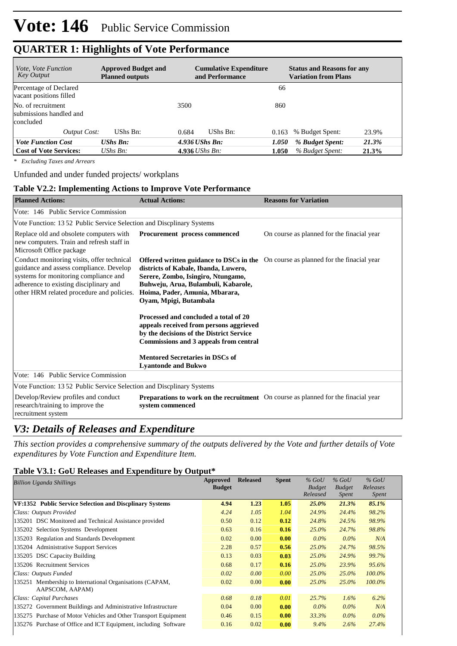# **QUARTER 1: Highlights of Vote Performance**

| <i>Vote, Vote Function</i><br><b>Key Output</b>            | <b>Approved Budget and</b><br><b>Planned outputs</b> | <b>Cumulative Expenditure</b><br>and Performance | <b>Status and Reasons for any</b><br><b>Variation from Plans</b> |
|------------------------------------------------------------|------------------------------------------------------|--------------------------------------------------|------------------------------------------------------------------|
| Percentage of Declared<br>vacant positions filled          |                                                      |                                                  | 66                                                               |
| No. of recruitment<br>submissions handled and<br>concluded |                                                      | 3500<br>860                                      |                                                                  |
| <b>Output Cost:</b>                                        | UShs Bn:                                             | 0.684<br>UShs Bn:<br>0.163                       | 23.9%<br>% Budget Spent:                                         |
| <b>Vote Function Cost</b>                                  | $UShs Bn$ :                                          | $4.936$ UShs Bn:<br>1.050                        | % Budget Spent:<br>21.3%                                         |
| <b>Cost of Vote Services:</b>                              | $\mathit{UShs}\, \mathit{Bn}$ :                      | 4.936 <i>UShs Bn</i> :<br>1.050                  | % Budget Spent:<br>21.3%                                         |

*\* Excluding Taxes and Arrears*

Unfunded and under funded projects/ workplans

#### **Table V2.2: Implementing Actions to Improve Vote Performance**

| <b>Planned Actions:</b>                                                                                                                                                                                               | <b>Actual Actions:</b>                                                                                                                                                                                                                                                     | <b>Reasons for Variation</b>               |
|-----------------------------------------------------------------------------------------------------------------------------------------------------------------------------------------------------------------------|----------------------------------------------------------------------------------------------------------------------------------------------------------------------------------------------------------------------------------------------------------------------------|--------------------------------------------|
| Vote: 146 Public Service Commission                                                                                                                                                                                   |                                                                                                                                                                                                                                                                            |                                            |
| Vote Function: 1352 Public Service Selection and Discplinary Systems                                                                                                                                                  |                                                                                                                                                                                                                                                                            |                                            |
| Replace old and obsolete computers with<br>new computers. Train and refresh staff in<br>Microsoft Office package                                                                                                      | Procurement process commenced                                                                                                                                                                                                                                              | On course as planned for the finacial year |
| Conduct monitoring visits, offer technical<br>guidance and assess compliance. Develop<br>systems for monitoring compliance and<br>adherence to existing disciplinary and<br>other HRM related procedure and policies. | <b>Offered written guidance to DSCs in the</b> On course as planned for the finacial year<br>districts of Kabale, Ibanda, Luwero,<br>Serere, Zombo, Isingiro, Ntungamo,<br>Buhweju, Arua, Bulambuli, Kabarole,<br>Hoima, Pader, Amunia, Mbarara,<br>Oyam, Mpigi, Butambala |                                            |
|                                                                                                                                                                                                                       | Processed and concluded a total of 20<br>appeals received from persons aggrieved<br>by the decisions of the District Service<br>Commissions and 3 appeals from central<br><b>Mentored Secretaries in DSCs of</b>                                                           |                                            |
| Vote: 146 Public Service Commission                                                                                                                                                                                   | <b>Lyantonde and Bukwo</b>                                                                                                                                                                                                                                                 |                                            |
| Vote Function: 13 52 Public Service Selection and Discplinary Systems                                                                                                                                                 |                                                                                                                                                                                                                                                                            |                                            |
| Develop/Review profiles and conduct<br>research/training to improve the<br>recruitment system                                                                                                                         | <b>Preparations to work on the recruitment</b> On course as planned for the finacial year<br>system commenced                                                                                                                                                              |                                            |

## *V3: Details of Releases and Expenditure*

*This section provides a comprehensive summary of the outputs delivered by the Vote and further details of Vote expenditures by Vote Function and Expenditure Item.*

#### **Table V3.1: GoU Releases and Expenditure by Output\***

| <b>Billion Uganda Shillings</b>                                 | Approved<br><b>Budget</b> | <b>Released</b> | <b>Spent</b> | $%$ GoU<br><b>Budget</b><br>Released | $\%$ GoU<br><b>Budget</b><br>Spent | $%$ GoU<br>Releases<br><i>Spent</i> |
|-----------------------------------------------------------------|---------------------------|-----------------|--------------|--------------------------------------|------------------------------------|-------------------------------------|
| VF:1352 Public Service Selection and Discplinary Systems        | 4.94                      | 1.23            | 1.05         | 25.0%                                | 21.3%                              | 85.1%                               |
| Class: Outputs Provided                                         | 4.24                      | 1.05            | 1.04         | 24.9%                                | 24.4%                              | 98.2%                               |
| 135201 DSC Monitored and Technical Assistance provided          | 0.50                      | 0.12            | 0.12         | 24.8%                                | 24.5%                              | 98.9%                               |
| 135202 Selection Systems Development                            | 0.63                      | 0.16            | 0.16         | $25.0\%$                             | 24.7%                              | 98.8%                               |
| 135203 Regulation and Standards Development                     | 0.02                      | 0.00            | 0.00         | $0.0\%$                              | $0.0\%$                            | N/A                                 |
| 135204 Administrative Support Services                          | 2.28                      | 0.57            | 0.56         | $25.0\%$                             | 24.7%                              | 98.5%                               |
| 135205 DSC Capacity Building                                    | 0.13                      | 0.03            | 0.03         | $25.0\%$                             | 24.9%                              | 99.7%                               |
| 135206 Recruitment Services                                     | 0.68                      | 0.17            | 0.16         | 25.0%                                | 23.9%                              | 95.6%                               |
| Class: Outputs Funded                                           | 0.02                      | 0.00            | 0.00         | 25.0%                                | $25.0\%$                           | $100.0\%$                           |
| 135251 Membership to International Organisations (CAPAM,        | 0.02                      | 0.00            | 0.00         | 25.0%                                | $25.0\%$                           | $100.0\%$                           |
| AAPSCOM, AAPAM)                                                 |                           |                 |              |                                      |                                    |                                     |
| Class: Capital Purchases                                        | 0.68                      | 0.18            | 0.01         | 25.7%                                | $1.6\%$                            | 6.2%                                |
| 135272 Government Buildings and Administrative Infrastructure   | 0.04                      | 0.00            | 0.00         | $0.0\%$                              | $0.0\%$                            | N/A                                 |
| 135275 Purchase of Motor Vehicles and Other Transport Equipment | 0.46                      | 0.15            | 0.00         | 33.3%                                | $0.0\%$                            | $0.0\%$                             |
| 135276 Purchase of Office and ICT Equipment, including Software | 0.16                      | 0.02            | 0.00         | $9.4\%$                              | 2.6%                               | 27.4%                               |